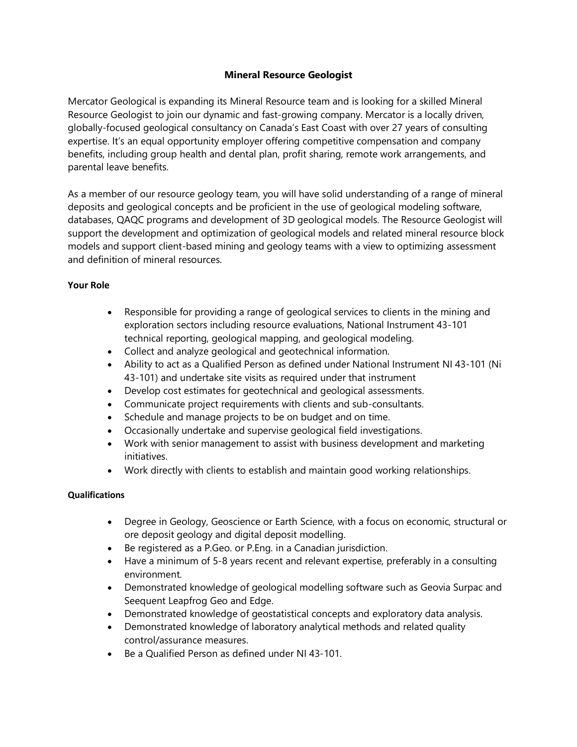## **Mineral Resource Geologist**

Mercator Geological is expanding its Mineral Resource team and is looking for a skilled Mineral Resource Geologist to join our dynamic and fast-growing company. Mercator is a locally driven, globally-focused geological consultancy on Canada's East Coast with over 27 years of consulting expertise. It's an equal opportunity employer offering competitive compensation and company benefits, including group health and dental plan, profit sharing, remote work arrangements, and parental leave benefits.

As a member of our resource geology team, you will have solid understanding of a range of mineral deposits and geological concepts and be proficient in the use of geological modeling software, databases, QAQC programs and development of 3D geological models. The Resource Geologist will support the development and optimization of geological models and related mineral resource block models and support client-based mining and geology teams with a view to optimizing assessment and definition of mineral resources.

## **Your Role**

- Responsible for providing a range of geological services to clients in the mining and exploration sectors including resource evaluations, National Instrument 43-101 technical reporting, geological mapping, and geological modeling.
- Collect and analyze geological and geotechnical information.
- Ability to act as a Qualified Person as defined under National Instrument NI 43-101 (Ni 43-101) and undertake site visits as required under that instrument
- Develop cost estimates for geotechnical and geological assessments.
- Communicate project requirements with clients and sub-consultants.
- Schedule and manage projects to be on budget and on time.
- Occasionally undertake and supervise geological field investigations.
- Work with senior management to assist with business development and marketing initiatives.
- Work directly with clients to establish and maintain good working relationships.

## **Qualifications**

- Degree in Geology, Geoscience or Earth Science, with a focus on economic, structural or ore deposit geology and digital deposit modelling.
- Be registered as a P.Geo. or P.Eng. in a Canadian jurisdiction.
- Have a minimum of 5-8 years recent and relevant expertise, preferably in a consulting environment.
- Demonstrated knowledge of geological modelling software such as Geovia Surpac and Seequent Leapfrog Geo and Edge.
- Demonstrated knowledge of geostatistical concepts and exploratory data analysis.
- Demonstrated knowledge of laboratory analytical methods and related quality control/assurance measures.
- Be a Qualified Person as defined under NI 43-101.